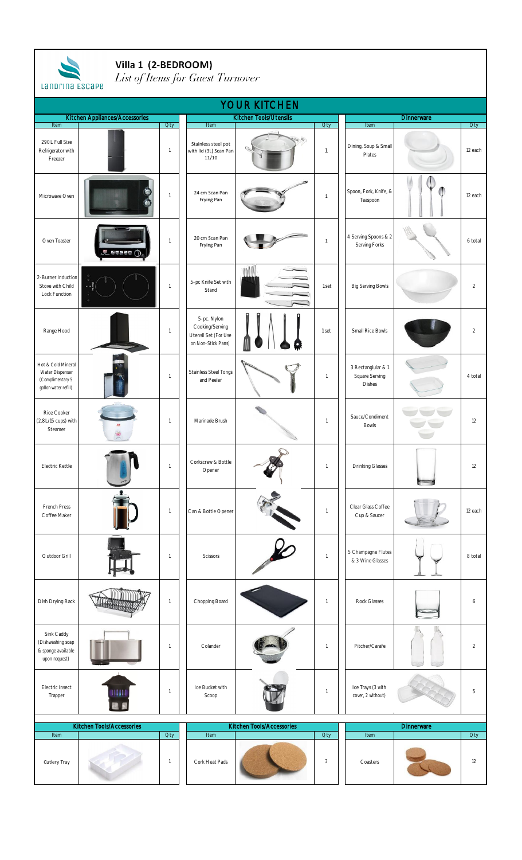| Villa 1 (2-BEDROOM)<br>List of Items for Guest Turnover<br>Landrina ESCAPE        |                                |                              |                                                                              |                           |                            |                                                       |                   |                       |  |  |  |  |
|-----------------------------------------------------------------------------------|--------------------------------|------------------------------|------------------------------------------------------------------------------|---------------------------|----------------------------|-------------------------------------------------------|-------------------|-----------------------|--|--|--|--|
| <b>YOUR KITCHEN</b>                                                               |                                |                              |                                                                              |                           |                            |                                                       |                   |                       |  |  |  |  |
|                                                                                   | Kitchen Appliances/Accessories |                              |                                                                              | Kitchen Tools/Utensils    |                            |                                                       | Dinnerware        |                       |  |  |  |  |
| Item<br>290L Full Size<br>Refrigerator with<br>Freezer                            |                                | <b>Oty</b><br>$\overline{1}$ | Item<br>Stainless steel pot<br>with lid (3L) Scan Pan<br>11/10               | N,                        | <b>Oty</b><br>$\mathbf{1}$ | Item<br>Dining, Soup & Small<br>Plates                |                   | <b>Oty</b><br>12 each |  |  |  |  |
| Microwave Oven                                                                    | e                              | $\overline{1}$               | 24 cm Scan Pan<br>Frying Pan                                                 |                           | $\mathbf 1$                | Spoon, Fork, Knife, &<br>Teaspoon                     |                   | 12 each               |  |  |  |  |
| Oven Toaster                                                                      | 医鼻周周围                          | $\mathbf{1}$                 | 20 cm Scan Pan<br>Frying Pan                                                 |                           | $\,$ 1                     | 4 Serving Spoons & 2<br>Serving Forks                 |                   | 6 total               |  |  |  |  |
| 2-Burner Induction<br>Stove with Child<br>Lock Function                           |                                | $\mathbf{1}$                 | 5-pc Knife Set with<br>Stand                                                 |                           | 1 set                      | <b>Big Serving Bowls</b>                              |                   | $\overline{2}$        |  |  |  |  |
| Range Hood                                                                        |                                | $\mathbf{1}$                 | 5-pc. Nylon<br>Cooking/Serving<br>Utensil Set (For Use<br>on Non-Stick Pans) |                           | 1 set                      | Small Rice Bowls                                      |                   | $\overline{2}$        |  |  |  |  |
| Hot & Cold Mineral<br>Water Dispenser<br>(Complimentary 5<br>gallon water refill) |                                | 1                            | <b>Stainless Steel Tongs</b><br>and Peeler                                   |                           | $\mathbf{1}$               | 3 Rectanglular & 1<br>Square Serving<br><b>Dishes</b> |                   | 4 total               |  |  |  |  |
| Rice Cooker<br>(2.8L/15 cups) with<br>Steamer                                     |                                | $\mathbf{1}$                 | Marinade Brush                                                               |                           | $\mathbf{1}$               | Sauce/Condiment<br><b>Bowls</b>                       |                   | 12                    |  |  |  |  |
| Electric Kettle                                                                   |                                | $\overline{1}$               | Corkscrew & Bottle<br>Opener                                                 |                           | $\mathbf{1}$               | <b>Drinking Glasses</b>                               |                   | 12                    |  |  |  |  |
| French Press<br>Coffee Maker                                                      |                                | $\mathbf{1}$                 | Can & Bottle Opener                                                          |                           | $\mathbf{1}$               | Clear Glass Coffee<br>Cup & Saucer                    |                   | 12 each               |  |  |  |  |
| Outdoor Grill                                                                     |                                | $\mathbf{1}$                 | <b>Scissors</b>                                                              |                           | $\overline{1}$             | 5 Champagne Flutes<br>& 3 Wine Glasses                |                   | 8 total               |  |  |  |  |
| Dish Drying Rack                                                                  |                                | 1                            | Chopping Board                                                               |                           | $\mathbf{1}$               | Rock Glasses                                          |                   | 6                     |  |  |  |  |
| Sink Caddy<br>(Dishwashing soap<br>& sponge available<br>upon request)            |                                | $\mathbf{1}$                 | Colander                                                                     |                           | $\mathbf{1}$               | Pitcher/Carafe                                        |                   | $\overline{2}$        |  |  |  |  |
| Electric Insect<br>Trapper                                                        | Ш                              | $\overline{1}$               | Ice Bucket with<br>Scoop                                                     |                           | $\overline{1}$             | Ice Trays (3 with<br>cover, 2 without)                |                   | 5                     |  |  |  |  |
|                                                                                   | Kitchen Tools/Accessories      |                              |                                                                              | Kitchen Tools/Accessories |                            |                                                       | <b>Dinnerware</b> |                       |  |  |  |  |
| Item                                                                              |                                | Qty                          | Item                                                                         |                           | Qty                        | Item                                                  |                   | <b>Qty</b>            |  |  |  |  |
| Cutlery Tray                                                                      |                                | $\overline{1}$               | Cork Heat Pads                                                               |                           | 3                          | Coasters                                              |                   | 12                    |  |  |  |  |